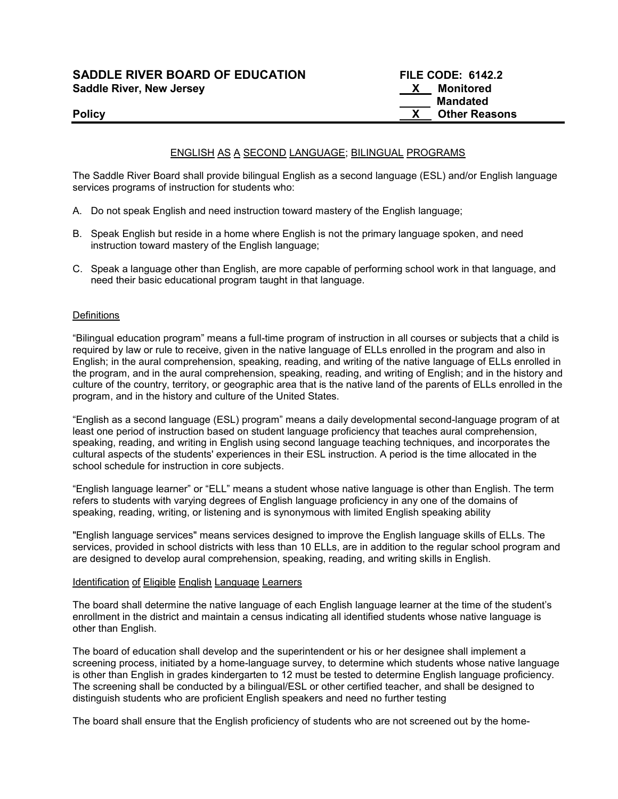# SADDLE RIVER BOARD OF EDUCATION FILE CODE: 6142.2 Saddle River, New Jersey Manual According to the Monitored Manual According to the Monitored

## ENGLISH AS A SECOND LANGUAGE; BILINGUAL PROGRAMS

The Saddle River Board shall provide bilingual English as a second language (ESL) and/or English language services programs of instruction for students who:

- A. Do not speak English and need instruction toward mastery of the English language;
- B. Speak English but reside in a home where English is not the primary language spoken, and need instruction toward mastery of the English language;
- C. Speak a language other than English, are more capable of performing school work in that language, and need their basic educational program taught in that language.

#### **Definitions**

"Bilingual education program" means a full-time program of instruction in all courses or subjects that a child is required by law or rule to receive, given in the native language of ELLs enrolled in the program and also in English; in the aural comprehension, speaking, reading, and writing of the native language of ELLs enrolled in the program, and in the aural comprehension, speaking, reading, and writing of English; and in the history and culture of the country, territory, or geographic area that is the native land of the parents of ELLs enrolled in the program, and in the history and culture of the United States.

"English as a second language (ESL) program" means a daily developmental second-language program of at least one period of instruction based on student language proficiency that teaches aural comprehension, speaking, reading, and writing in English using second language teaching techniques, and incorporates the cultural aspects of the students' experiences in their ESL instruction. A period is the time allocated in the school schedule for instruction in core subjects.

"English language learner" or "ELL" means a student whose native language is other than English. The term refers to students with varying degrees of English language proficiency in any one of the domains of speaking, reading, writing, or listening and is synonymous with limited English speaking ability

"English language services" means services designed to improve the English language skills of ELLs. The services, provided in school districts with less than 10 ELLs, are in addition to the regular school program and are designed to develop aural comprehension, speaking, reading, and writing skills in English.

#### Identification of Eligible English Language Learners

The board shall determine the native language of each English language learner at the time of the student's enrollment in the district and maintain a census indicating all identified students whose native language is other than English.

The board of education shall develop and the superintendent or his or her designee shall implement a screening process, initiated by a home-language survey, to determine which students whose native language is other than English in grades kindergarten to 12 must be tested to determine English language proficiency. The screening shall be conducted by a bilingual/ESL or other certified teacher, and shall be designed to distinguish students who are proficient English speakers and need no further testing

The board shall ensure that the English proficiency of students who are not screened out by the home-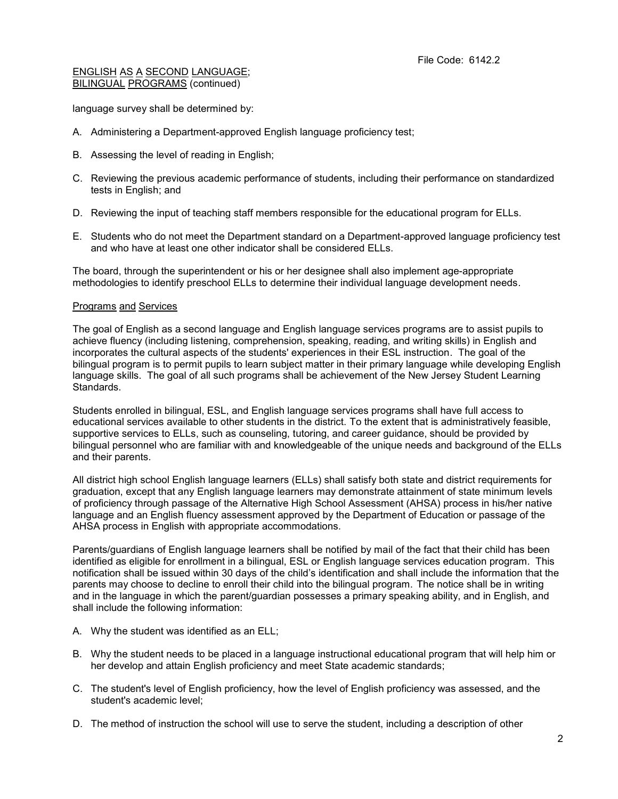language survey shall be determined by:

- A. Administering a Department-approved English language proficiency test;
- B. Assessing the level of reading in English;
- C. Reviewing the previous academic performance of students, including their performance on standardized tests in English; and
- D. Reviewing the input of teaching staff members responsible for the educational program for ELLs.
- E. Students who do not meet the Department standard on a Department-approved language proficiency test and who have at least one other indicator shall be considered ELLs.

The board, through the superintendent or his or her designee shall also implement age-appropriate methodologies to identify preschool ELLs to determine their individual language development needs.

#### Programs and Services

The goal of English as a second language and English language services programs are to assist pupils to achieve fluency (including listening, comprehension, speaking, reading, and writing skills) in English and incorporates the cultural aspects of the students' experiences in their ESL instruction. The goal of the bilingual program is to permit pupils to learn subject matter in their primary language while developing English language skills. The goal of all such programs shall be achievement of the New Jersey Student Learning Standards.

Students enrolled in bilingual, ESL, and English language services programs shall have full access to educational services available to other students in the district. To the extent that is administratively feasible, supportive services to ELLs, such as counseling, tutoring, and career guidance, should be provided by bilingual personnel who are familiar with and knowledgeable of the unique needs and background of the ELLs and their parents.

All district high school English language learners (ELLs) shall satisfy both state and district requirements for graduation, except that any English language learners may demonstrate attainment of state minimum levels of proficiency through passage of the Alternative High School Assessment (AHSA) process in his/her native language and an English fluency assessment approved by the Department of Education or passage of the AHSA process in English with appropriate accommodations.

Parents/guardians of English language learners shall be notified by mail of the fact that their child has been identified as eligible for enrollment in a bilingual, ESL or English language services education program. This notification shall be issued within 30 days of the child's identification and shall include the information that the parents may choose to decline to enroll their child into the bilingual program. The notice shall be in writing and in the language in which the parent/guardian possesses a primary speaking ability, and in English, and shall include the following information:

- A. Why the student was identified as an ELL;
- B. Why the student needs to be placed in a language instructional educational program that will help him or her develop and attain English proficiency and meet State academic standards;
- C. The student's level of English proficiency, how the level of English proficiency was assessed, and the student's academic level;
- D. The method of instruction the school will use to serve the student, including a description of other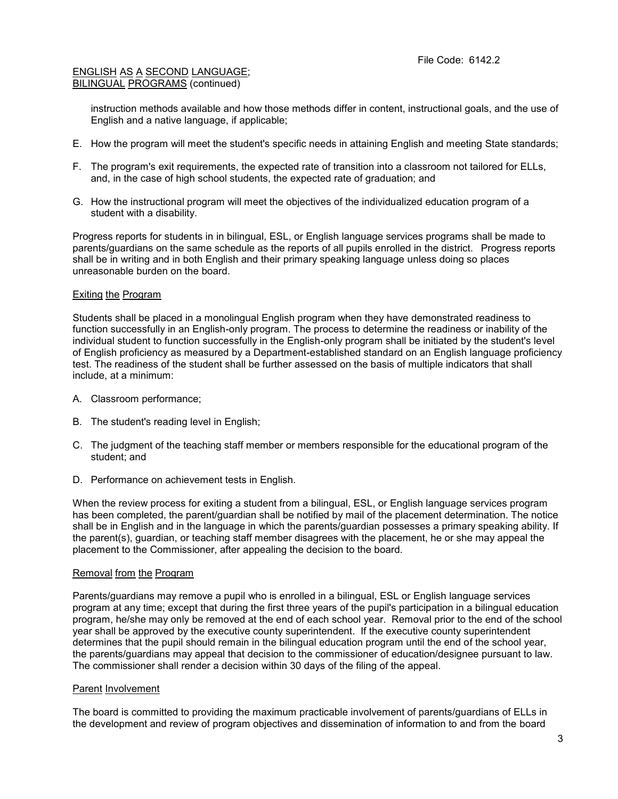instruction methods available and how those methods differ in content, instructional goals, and the use of English and a native language, if applicable;

- E. How the program will meet the student's specific needs in attaining English and meeting State standards;
- F. The program's exit requirements, the expected rate of transition into a classroom not tailored for ELLs, and, in the case of high school students, the expected rate of graduation; and
- G. How the instructional program will meet the objectives of the individualized education program of a student with a disability.

Progress reports for students in in bilingual, ESL, or English language services programs shall be made to parents/guardians on the same schedule as the reports of all pupils enrolled in the district. Progress reports shall be in writing and in both English and their primary speaking language unless doing so places unreasonable burden on the board.

#### Exiting the Program

Students shall be placed in a monolingual English program when they have demonstrated readiness to function successfully in an English-only program. The process to determine the readiness or inability of the individual student to function successfully in the English-only program shall be initiated by the student's level of English proficiency as measured by a Department-established standard on an English language proficiency test. The readiness of the student shall be further assessed on the basis of multiple indicators that shall include, at a minimum:

- A. Classroom performance;
- B. The student's reading level in English;
- C. The judgment of the teaching staff member or members responsible for the educational program of the student; and
- D. Performance on achievement tests in English.

When the review process for exiting a student from a bilingual, ESL, or English language services program has been completed, the parent/guardian shall be notified by mail of the placement determination. The notice shall be in English and in the language in which the parents/guardian possesses a primary speaking ability. If the parent(s), guardian, or teaching staff member disagrees with the placement, he or she may appeal the placement to the Commissioner, after appealing the decision to the board.

#### Removal from the Program

Parents/guardians may remove a pupil who is enrolled in a bilingual, ESL or English language services program at any time; except that during the first three years of the pupil's participation in a bilingual education program, he/she may only be removed at the end of each school year. Removal prior to the end of the school year shall be approved by the executive county superintendent. If the executive county superintendent determines that the pupil should remain in the bilingual education program until the end of the school year, the parents/guardians may appeal that decision to the commissioner of education/designee pursuant to law. The commissioner shall render a decision within 30 days of the filing of the appeal.

#### Parent Involvement

The board is committed to providing the maximum practicable involvement of parents/guardians of ELLs in the development and review of program objectives and dissemination of information to and from the board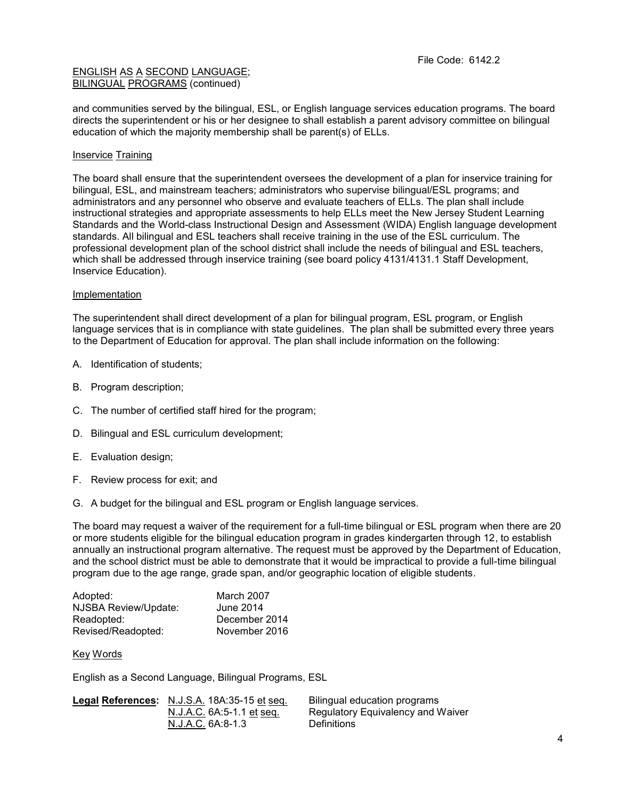and communities served by the bilingual, ESL, or English language services education programs. The board directs the superintendent or his or her designee to shall establish a parent advisory committee on bilingual education of which the majority membership shall be parent(s) of ELLs.

## **Inservice Training**

The board shall ensure that the superintendent oversees the development of a plan for inservice training for bilingual, ESL, and mainstream teachers; administrators who supervise bilingual/ESL programs; and administrators and any personnel who observe and evaluate teachers of ELLs. The plan shall include instructional strategies and appropriate assessments to help ELLs meet the New Jersey Student Learning Standards and the World-class Instructional Design and Assessment (WIDA) English language development standards. All bilingual and ESL teachers shall receive training in the use of the ESL curriculum. The professional development plan of the school district shall include the needs of bilingual and ESL teachers, which shall be addressed through inservice training (see board policy 4131/4131.1 Staff Development, Inservice Education).

#### **Implementation**

The superintendent shall direct development of a plan for bilingual program, ESL program, or English language services that is in compliance with state guidelines. The plan shall be submitted every three years to the Department of Education for approval. The plan shall include information on the following:

- A. Identification of students;
- B. Program description;
- C. The number of certified staff hired for the program;
- D. Bilingual and ESL curriculum development;
- E. Evaluation design;
- F. Review process for exit; and
- G. A budget for the bilingual and ESL program or English language services.

The board may request a waiver of the requirement for a full-time bilingual or ESL program when there are 20 or more students eligible for the bilingual education program in grades kindergarten through 12, to establish annually an instructional program alternative. The request must be approved by the Department of Education, and the school district must be able to demonstrate that it would be impractical to provide a full-time bilingual program due to the age range, grade span, and/or geographic location of eligible students.

| Adopted:             | March 2007    |
|----------------------|---------------|
| NJSBA Review/Update: | June 2014     |
| Readopted:           | December 2014 |
| Revised/Readopted:   | November 2016 |

#### Key Words

English as a Second Language, Bilingual Programs, ESL

| Legal References: N.J.S.A. 18A:35-15 et seq. | Bilingual education programs      |
|----------------------------------------------|-----------------------------------|
| N.J.A.C. 6A:5-1.1 et seq.                    | Regulatory Equivalency and Waiver |
| N.J.A.C. 6A:8-1.3                            | <b>Definitions</b>                |